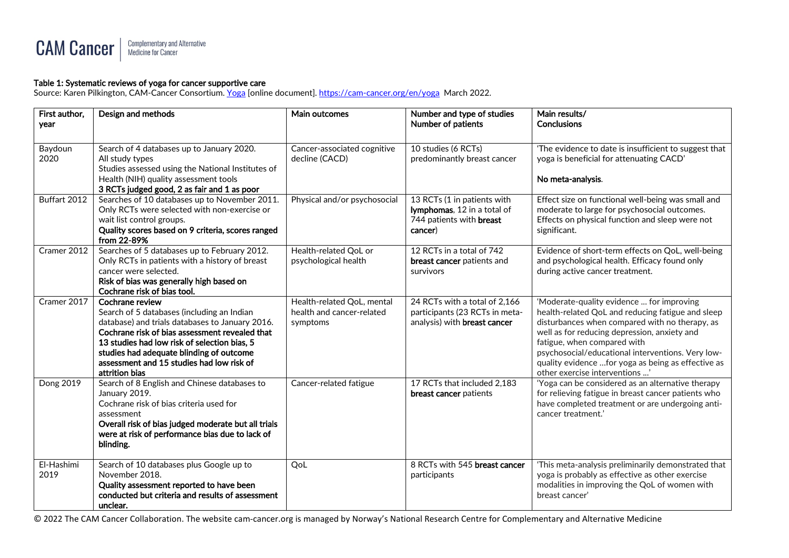#### Complementary and Alternative<br>Medicine for Cancer **CAM Cancer**

#### Table 1: Systematic reviews of yoga for cancer supportive care

Source: Karen Pilkington, CAM-Cancer Consortium. [Yoga](https://cam-cancer.org/en/yoga) [online document][. https://cam-cancer.org/en/yoga](https://cam-cancer.org/en/yoga) March 2022.

| First author,<br>vear | Design and methods                                                                                                                                                                                                                                                                                                            | Main outcomes                                                       | Number and type of studies<br>Number of patients                                                         | Main results/<br><b>Conclusions</b>                                                                                                                                                                                                                                                                                                                                           |
|-----------------------|-------------------------------------------------------------------------------------------------------------------------------------------------------------------------------------------------------------------------------------------------------------------------------------------------------------------------------|---------------------------------------------------------------------|----------------------------------------------------------------------------------------------------------|-------------------------------------------------------------------------------------------------------------------------------------------------------------------------------------------------------------------------------------------------------------------------------------------------------------------------------------------------------------------------------|
| Baydoun<br>2020       | Search of 4 databases up to January 2020.<br>All study types<br>Studies assessed using the National Institutes of<br>Health (NIH) quality assessment tools<br>3 RCTs judged good, 2 as fair and 1 as poor                                                                                                                     | Cancer-associated cognitive<br>decline (CACD)                       | 10 studies (6 RCTs)<br>predominantly breast cancer                                                       | 'The evidence to date is insufficient to suggest that<br>yoga is beneficial for attenuating CACD'<br>No meta-analysis.                                                                                                                                                                                                                                                        |
| Buffart 2012          | Searches of 10 databases up to November 2011.<br>Only RCTs were selected with non-exercise or<br>wait list control groups.<br>Quality scores based on 9 criteria, scores ranged<br>from 22-89%                                                                                                                                | Physical and/or psychosocial                                        | 13 RCTs (1 in patients with<br>lymphomas, 12 in a total of<br>744 patients with <b>breast</b><br>cancer) | Effect size on functional well-being was small and<br>moderate to large for psychosocial outcomes.<br>Effects on physical function and sleep were not<br>significant.                                                                                                                                                                                                         |
| Cramer 2012           | Searches of 5 databases up to February 2012.<br>Only RCTs in patients with a history of breast<br>cancer were selected.<br>Risk of bias was generally high based on<br>Cochrane risk of bias tool.                                                                                                                            | Health-related QoL or<br>psychological health                       | 12 RCTs in a total of 742<br><b>breast cancer</b> patients and<br>survivors                              | Evidence of short-term effects on QoL, well-being<br>and psychological health. Efficacy found only<br>during active cancer treatment.                                                                                                                                                                                                                                         |
| Cramer 2017           | Cochrane review<br>Search of 5 databases (including an Indian<br>database) and trials databases to January 2016.<br>Cochrane risk of bias assessment revealed that<br>13 studies had low risk of selection bias, 5<br>studies had adequate blinding of outcome<br>assessment and 15 studies had low risk of<br>attrition bias | Health-related QoL, mental<br>health and cancer-related<br>symptoms | 24 RCTs with a total of 2,166<br>participants (23 RCTs in meta-<br>analysis) with <b>breast cancer</b>   | 'Moderate-quality evidence  for improving<br>health-related QoL and reducing fatigue and sleep<br>disturbances when compared with no therapy, as<br>well as for reducing depression, anxiety and<br>fatigue, when compared with<br>psychosocial/educational interventions. Very low-<br>quality evidence  for yoga as being as effective as<br>other exercise interventions ' |
| Dong 2019             | Search of 8 English and Chinese databases to<br>January 2019.<br>Cochrane risk of bias criteria used for<br>assessment<br>Overall risk of bias judged moderate but all trials<br>were at risk of performance bias due to lack of<br>blinding.                                                                                 | Cancer-related fatigue                                              | 17 RCTs that included 2,183<br>breast cancer patients                                                    | 'Yoga can be considered as an alternative therapy<br>for relieving fatigue in breast cancer patients who<br>have completed treatment or are undergoing anti-<br>cancer treatment.'                                                                                                                                                                                            |
| El-Hashimi<br>2019    | Search of 10 databases plus Google up to<br>November 2018.<br>Quality assessment reported to have been<br>conducted but criteria and results of assessment<br>unclear.                                                                                                                                                        | QoL                                                                 | 8 RCTs with 545 breast cancer<br>participants                                                            | 'This meta-analysis preliminarily demonstrated that<br>yoga is probably as effective as other exercise<br>modalities in improving the QoL of women with<br>breast cancer'                                                                                                                                                                                                     |

© 2022 The CAM Cancer Collaboration. The website cam-cancer.org is managed by Norway's National Research Centre for Complementary and Alternative Medicine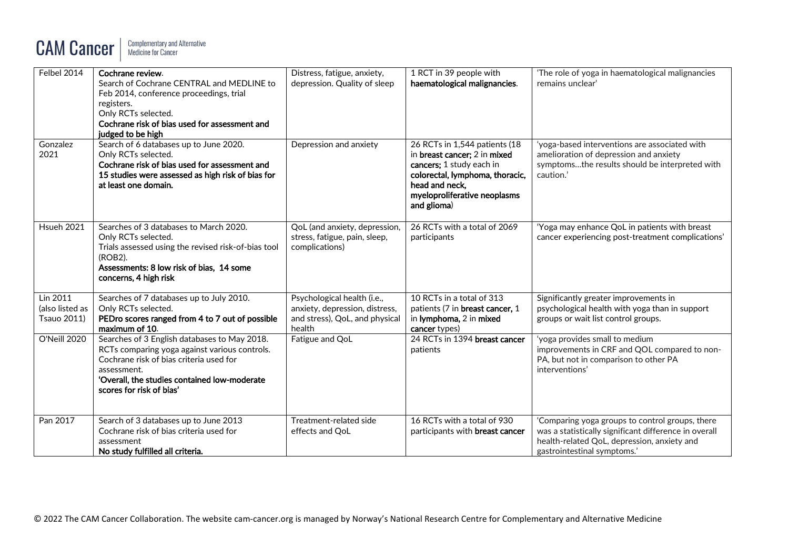# **CAM Cancer**

| Felbel 2014                                       | Cochrane review.<br>Search of Cochrane CENTRAL and MEDLINE to<br>Feb 2014, conference proceedings, trial<br>registers.<br>Only RCTs selected.<br>Cochrane risk of bias used for assessment and<br>judged to be high                 | Distress, fatigue, anxiety,<br>depression. Quality of sleep                                               | 1 RCT in 39 people with<br>haematological malignancies.                                                                                                                                       | 'The role of yoga in haematological malignancies<br>remains unclear'                                                                                                                   |
|---------------------------------------------------|-------------------------------------------------------------------------------------------------------------------------------------------------------------------------------------------------------------------------------------|-----------------------------------------------------------------------------------------------------------|-----------------------------------------------------------------------------------------------------------------------------------------------------------------------------------------------|----------------------------------------------------------------------------------------------------------------------------------------------------------------------------------------|
| Gonzalez<br>2021                                  | Search of 6 databases up to June 2020.<br>Only RCTs selected.<br>Cochrane risk of bias used for assessment and<br>15 studies were assessed as high risk of bias for<br>at least one domain.                                         | Depression and anxiety                                                                                    | 26 RCTs in 1,544 patients (18<br>in breast cancer; 2 in mixed<br>cancers; 1 study each in<br>colorectal, lymphoma, thoracic,<br>head and neck,<br>myeloproliferative neoplasms<br>and glioma) | 'yoga-based interventions are associated with<br>amelioration of depression and anxiety<br>symptomsthe results should be interpreted with<br>caution.'                                 |
| Hsueh 2021                                        | Searches of 3 databases to March 2020.<br>Only RCTs selected.<br>Trials assessed using the revised risk-of-bias tool<br>(ROB2).<br>Assessments: 8 low risk of bias, 14 some<br>concerns, 4 high risk                                | QoL (and anxiety, depression,<br>stress, fatigue, pain, sleep,<br>complications)                          | 26 RCTs with a total of 2069<br>participants                                                                                                                                                  | 'Yoga may enhance QoL in patients with breast<br>cancer experiencing post-treatment complications'                                                                                     |
| Lin 2011<br>(also listed as<br><b>Tsauo 2011)</b> | Searches of 7 databases up to July 2010.<br>Only RCTs selected.<br>PEDro scores ranged from 4 to 7 out of possible<br>maximum of 10.                                                                                                | Psychological health (i.e.,<br>anxiety, depression, distress,<br>and stress), QoL, and physical<br>health | 10 RCTs in a total of 313<br>patients (7 in <b>breast cancer</b> , 1<br>in lymphoma, 2 in mixed<br>cancer types)                                                                              | Significantly greater improvements in<br>psychological health with yoga than in support<br>groups or wait list control groups.                                                         |
| O'Neill 2020                                      | Searches of 3 English databases to May 2018.<br>RCTs comparing yoga against various controls.<br>Cochrane risk of bias criteria used for<br>assessment.<br>'Overall, the studies contained low-moderate<br>scores for risk of bias' | Fatigue and QoL                                                                                           | 24 RCTs in 1394 breast cancer<br>patients                                                                                                                                                     | 'yoga provides small to medium<br>improvements in CRF and QOL compared to non-<br>PA, but not in comparison to other PA<br>interventions'                                              |
| Pan 2017                                          | Search of 3 databases up to June 2013<br>Cochrane risk of bias criteria used for<br>assessment<br>No study fulfilled all criteria.                                                                                                  | Treatment-related side<br>effects and QoL                                                                 | 16 RCTs with a total of 930<br>participants with <b>breast cancer</b>                                                                                                                         | 'Comparing yoga groups to control groups, there<br>was a statistically significant difference in overall<br>health-related QoL, depression, anxiety and<br>gastrointestinal symptoms.' |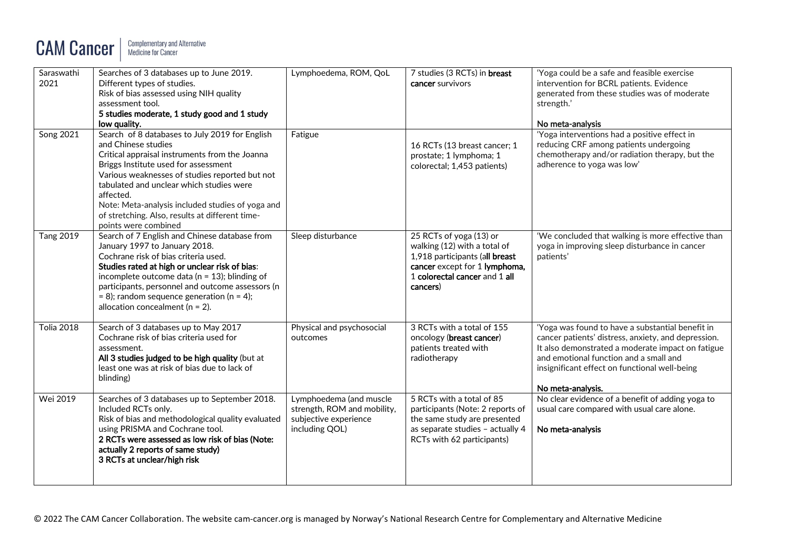## **CAM Cancer**

| Saraswathi<br>2021 | Searches of 3 databases up to June 2019.<br>Different types of studies.<br>Risk of bias assessed using NIH quality<br>assessment tool.<br>5 studies moderate, 1 study good and 1 study<br>low quality.                                                                                                                                                                                                    | Lymphoedema, ROM, QoL                                                                             | 7 studies (3 RCTs) in breast<br>cancer survivors                                                                                                                        | 'Yoga could be a safe and feasible exercise<br>intervention for BCRL patients. Evidence<br>generated from these studies was of moderate<br>strength.'<br>No meta-analysis                                                                                                    |
|--------------------|-----------------------------------------------------------------------------------------------------------------------------------------------------------------------------------------------------------------------------------------------------------------------------------------------------------------------------------------------------------------------------------------------------------|---------------------------------------------------------------------------------------------------|-------------------------------------------------------------------------------------------------------------------------------------------------------------------------|------------------------------------------------------------------------------------------------------------------------------------------------------------------------------------------------------------------------------------------------------------------------------|
| <b>Song 2021</b>   | Search of 8 databases to July 2019 for English<br>and Chinese studies<br>Critical appraisal instruments from the Joanna<br>Briggs Institute used for assessment<br>Various weaknesses of studies reported but not<br>tabulated and unclear which studies were<br>affected.<br>Note: Meta-analysis included studies of yoga and<br>of stretching. Also, results at different time-<br>points were combined | Fatigue                                                                                           | 16 RCTs (13 breast cancer; 1<br>prostate; 1 lymphoma; 1<br>colorectal; 1,453 patients)                                                                                  | 'Yoga interventions had a positive effect in<br>reducing CRF among patients undergoing<br>chemotherapy and/or radiation therapy, but the<br>adherence to yoga was low'                                                                                                       |
| <b>Tang 2019</b>   | Search of 7 English and Chinese database from<br>January 1997 to January 2018.<br>Cochrane risk of bias criteria used.<br>Studies rated at high or unclear risk of bias:<br>incomplete outcome data ( $n = 13$ ); blinding of<br>participants, personnel and outcome assessors (n<br>$= 8$ ); random sequence generation (n = 4);<br>allocation concealment ( $n = 2$ ).                                  | Sleep disturbance                                                                                 | 25 RCTs of yoga (13) or<br>walking (12) with a total of<br>1,918 participants (all breast<br>cancer except for 1 lymphoma,<br>1 colorectal cancer and 1 all<br>cancers) | 'We concluded that walking is more effective than<br>yoga in improving sleep disturbance in cancer<br>patients'                                                                                                                                                              |
| <b>Tolia 2018</b>  | Search of 3 databases up to May 2017<br>Cochrane risk of bias criteria used for<br>assessment.<br>All 3 studies judged to be high quality (but at<br>least one was at risk of bias due to lack of<br>blinding)                                                                                                                                                                                            | Physical and psychosocial<br>outcomes                                                             | 3 RCTs with a total of 155<br>oncology (breast cancer)<br>patients treated with<br>radiotherapy                                                                         | 'Yoga was found to have a substantial benefit in<br>cancer patients' distress, anxiety, and depression.<br>It also demonstrated a moderate impact on fatigue<br>and emotional function and a small and<br>insignificant effect on functional well-being<br>No meta-analysis. |
| Wei 2019           | Searches of 3 databases up to September 2018.<br>Included RCTs only.<br>Risk of bias and methodological quality evaluated<br>using PRISMA and Cochrane tool.<br>2 RCTs were assessed as low risk of bias (Note:<br>actually 2 reports of same study)<br>3 RCTs at unclear/high risk                                                                                                                       | Lymphoedema (and muscle<br>strength, ROM and mobility,<br>subjective experience<br>including QOL) | 5 RCTs with a total of 85<br>participants (Note: 2 reports of<br>the same study are presented<br>as separate studies - actually 4<br>RCTs with 62 participants)         | No clear evidence of a benefit of adding yoga to<br>usual care compared with usual care alone.<br>No meta-analysis                                                                                                                                                           |